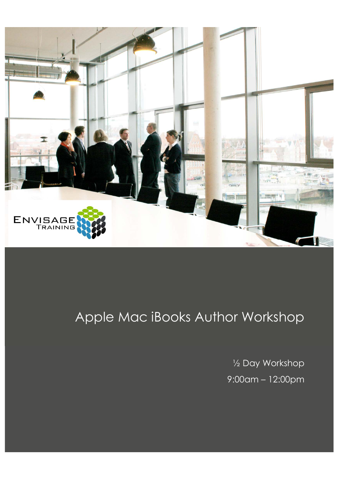

# Apple Mac iBooks Author Workshop

½ Day Workshop 9:00am – 12:00pm